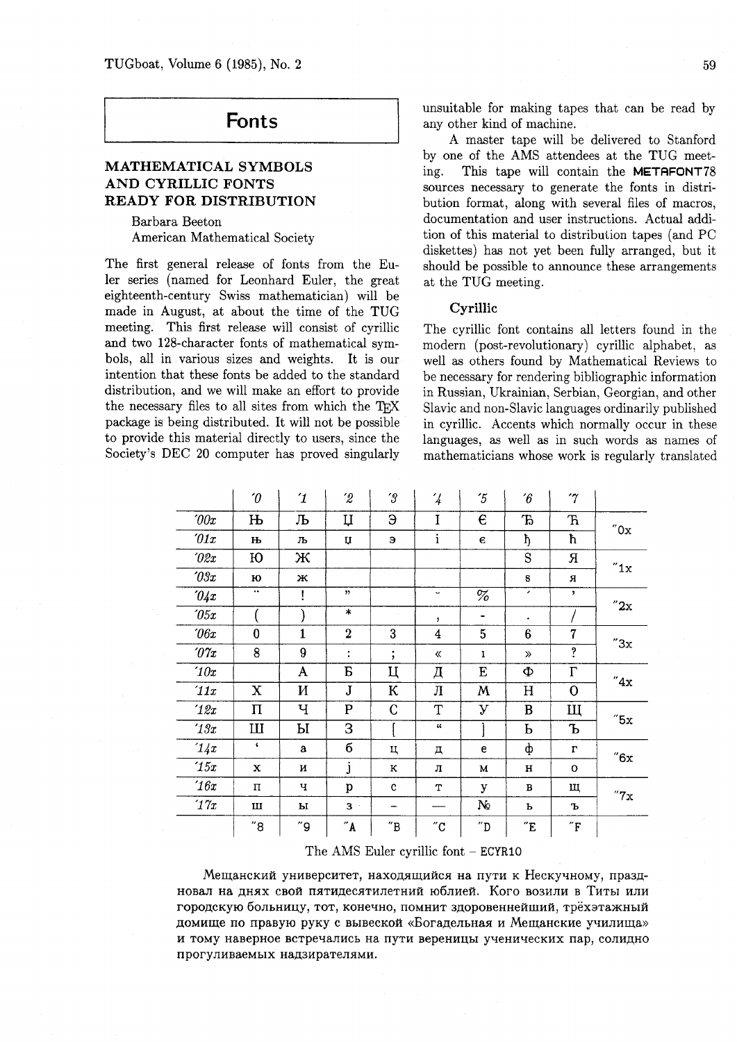# **Fonts**

### **MATHEMATICAL SYMBOLS AND CYRILLIC FONTS READY FOR DISTRIBUTION**

Barbara Beeton American Mathematical Society

The first general release of fonts from the Euler series (named for Leonhard Euler, the great eighteenth-century Swiss mathematician) will be made in August, at about the time of the TUG meeting. This first release will consist of cyrillic and two 128-character fonts of mathematical symbols, all in various sizes and weights. It is our intention that these fonts be added to the standard distribution, and we will make an effort to provide the necessary files to all sites from which the package is being distributed. It will not be possible to provide this material directly to users, since the Society's DEC 20 computer has proved singularly unsuitable for making tapes that can be read by any other kind of machine.

A master tape will be delivered to Stanford by one of the AMS attendees at the TUG meeting. This tape will contain the METAFONT78 sources necessary to generate the fonts in distribution format, along with several files of macros, documentation and user instructions. Actual addition of this material to distribulion tapes (and PC diskettes) has not yet been fully arranged, but it should be possible to announce these arrangements at the TUG meeting.

#### **Cyrillic**

The cyrillic font contains all letters found in the modern (post-revolutionary) cyrillic alphabet, as well as others found by Mathematical Reviews to be necessary for rendering bibliographic information in Russian, Ukrainian, Serbian, Georgian, and other Slavic and non-Slavic languages ordinarily published in cyrillic. Accents which normally occur in these languages, as well as in such words as names of mathematicians whose work is regularly translated

|                          | $\theta$         | $\mathcal{I}$ | $\hat{z}$             | $\mathcal{C}$                | $\frac{7}{4}$              | $\tilde{5}$                  | $\hat{b}$           | $\gamma$                 |                      |  |
|--------------------------|------------------|---------------|-----------------------|------------------------------|----------------------------|------------------------------|---------------------|--------------------------|----------------------|--|
| 00x                      | $\mathbf{H}$     | Љ             | Ц                     | Э                            | I                          | $\epsilon$                   | Ъ                   | $\mathbf F$              | $^{\prime\prime}$ Ox |  |
| $\partial 1x$            | њ                | љ             | Ų                     | Э                            | $\mathbf{i}$               | $\epsilon$                   | ħ                   | ħ                        |                      |  |
| $\partial \mathcal{Z} x$ | Ю                | Ж             |                       |                              |                            |                              | S                   | Я                        | "1x                  |  |
| $\partial \vartheta x$   | ю                | ж             |                       |                              |                            |                              | s                   | Я                        |                      |  |
| 04x                      | $\bullet\bullet$ | Ţ             | $\boldsymbol{\gamma}$ |                              | $\tilde{\phantom{a}}$      | %                            | ٠                   | $\overline{\phantom{a}}$ | "2x                  |  |
| $\partial 5x$            |                  |               | $\ast$                |                              | $\pmb{\mathcal{Y}}$        | -                            | ٠                   |                          |                      |  |
| $\theta$ f $x$           | $\bf{0}$         | $\mathbf{1}$  | $\overline{2}$        | 3                            | $\boldsymbol{4}$           | 5                            | 6                   | $\overline{7}$           | "3x                  |  |
| $\partial \gamma_x$      | 8                | 9             | $\ddot{\cdot}$        | $\vdots$                     | 《                          | 1                            | $\gg$               | ?                        |                      |  |
| 10x                      |                  | A             | B                     | Ц                            | Д                          | E                            | Φ                   | $\Gamma$                 | "4x                  |  |
| '11x                     | X                | И             | ${\bf J}$             | К                            | Л                          | M                            | H                   | $\overline{O}$           |                      |  |
| 12x                      | Π                | Ч             | ${\bf P}$             | C                            | $\mathbf T$                | У                            | $\, {\bf B}$        | Щ                        | $^{\prime\prime}5x$  |  |
| 13x                      | Ш                | Ы             | 3                     |                              | $\mathcal{U}$              |                              | Ь                   | Ъ                        |                      |  |
| 14x                      | $\mathbf{C}$     | $\mathbf{a}$  | б                     | Ц                            | д                          | e                            | ф                   | $\Gamma$                 | $^{\prime\prime}6x$  |  |
| '15x                     | x                | и             | j                     | к                            | л                          | М                            | $\mathbf H$         | $\mathbf{o}$             |                      |  |
| 16x                      | п                | ч             | p                     | $\mathbf c$                  | т                          | У                            | B                   | щ                        | "7x                  |  |
| 17x                      | Ш                | ы             | 3                     |                              |                            | N <sub>2</sub>               | Ь                   | Ъ                        |                      |  |
|                          | "8               | ″9            | $^{\prime\prime}$ A   | $^{\prime\prime} \texttt{B}$ | $^{\prime\prime} \text{C}$ | $^{\prime\prime} \mathrm{D}$ | $^{\prime\prime}$ E | $^{\prime\prime}\Gamma$  |                      |  |

The AMS Euler cyrillic font - **ECYRIO** 

Мещанский университет, находящийся на пути к Нескучному, праздновал на днях свой пятидесятилетний юблией. Кого возили в Титы или городскую больницу, тот, конечно, помнит здоровеннейший, трёхэтажный домище по правую руку с вывеской «Богадельная и Мещанские училища» и тому наверное встречались на пути вереницы ученических пар, солидно прогуливаемых надзирателями.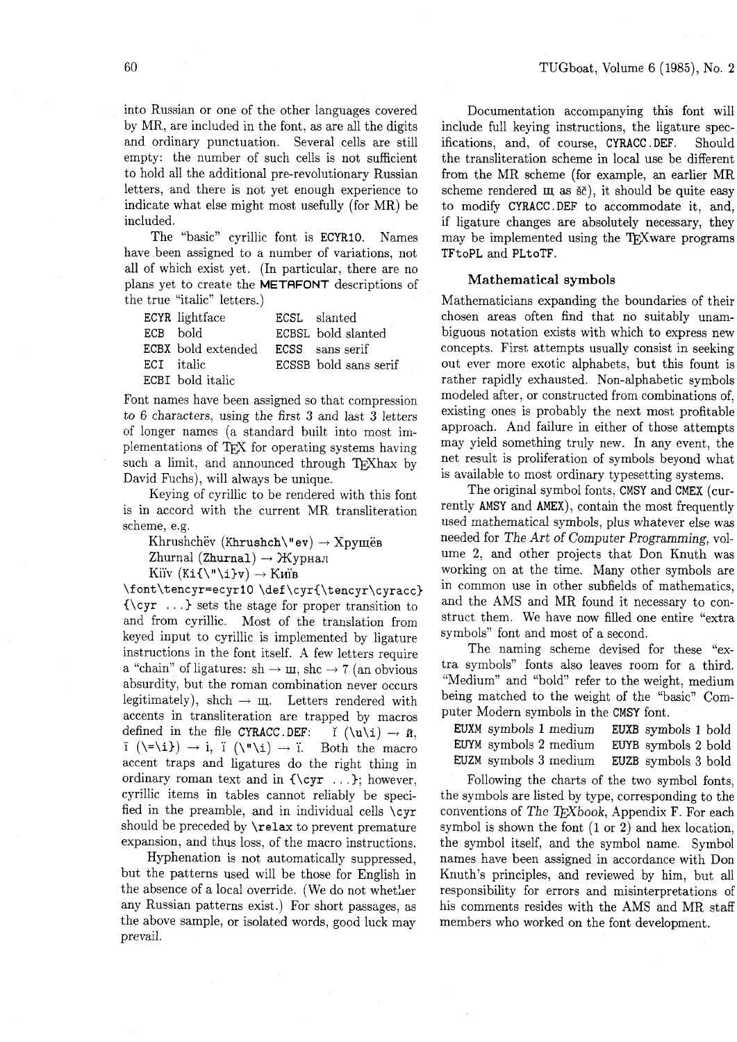into Russian or one of the other languages covered by MR, are included in the font, as are all the digits and ordinary punctuation. Several cells are still empty: the number of such cells is not sufficient to hold all the additional pre-revolutionary Russian letters, and there is not yet enough experience to indicate what else might most usefully (for MR) be included.

The "basic" cyrillic font is ECYRIO. Names have been assigned to a number of variations, not all of which exist yet. (In particular, there are no plans yet to create the METAFONT descriptions of the true "italic" letters.)

|          | ECYR lightface     | ECSL slanted          |
|----------|--------------------|-----------------------|
| ECB bold |                    | ECBSL bold slanted    |
|          | ECBX bold extended | ECSS sans serif       |
|          | ECI italic         | ECSSB bold sans serif |
|          | ECBI bold italic   |                       |

Font names have been assigned so that compression to 6 characters, using the first **3** and last **3** letters of longer names (a standard built into most implementations of TEX for operating systems having such a limit, and announced through T<sub>F</sub>Xhax by David Fuchs), will always be unique.

Keying of cyrillic to be rendered with this font is in accord with the current MR transliteration scheme, e.g.

Khrushchëv (Khrushch\"ev)  $\rightarrow$  Xpymës Zhurnal (Zhurnal)  $\rightarrow$  Журнал

Kiïv  $(Ki\{\{v\}_i\}_v) \rightarrow Km$ B

\font\tencyr=ecyrlO **\def\cyr{\tencyr\cyracc)**   $\{\csc r \ldots\}$  sets the stage for proper transition to and from cyrillic. Most of the translation from keyed input to cyrillic is implemented by ligature instructions in the font itself. A few letters require a "chain" of ligatures: sh  $\rightarrow \text{u}$ , shc  $\rightarrow$  7 (an obvious absurdity, but the roman combination never occurs legitimately), shch  $\rightarrow$   $m$ . Letters rendered with accents in transliteration are trapped by macros defined in the file CYRACC. DEF:  $\check{I} (\nu\iota) \rightarrow \check{n}$ ,  $\check{I} (\nu\iota) \rightarrow \check{I}$ defined in the file CYRACC.DEF:  $\check{\mathbf{i}} (\hat{\mathbf{u}} \setminus \mathbf{i}) \rightarrow \check{\mathbf{n}},$ <br> $\bar{\mathbf{i}} (\check{\mathbf{v}} \setminus \mathbf{i}) \rightarrow \check{\mathbf{i}}$ ,  $\check{\mathbf{i}} (\check{\mathbf{v}} \setminus \mathbf{i}) \rightarrow \check{\mathbf{n}}$ . Both the macro accent traps and ligatures do the right thing in ordinary roman text and in  ${\\cyr \ ...}$ ; however, cyrillic items in tables cannot reliably be specified in the preamble, and in individual cells  $\c{yr}$ should be preceded by \relax to prevent premature expansion, and thus loss, of the macro instructions.

Hyphenation is not automatically suppressed, but the patterns used will be those for English in the absence of a local override. (We do not whetlier any Russian patterns exist.) For short passages, as the above sample, or isolated words, good luck may prevail.

Documentation accompanying this font will include full keying instructions, the ligature specifications, and, of course, CYRACC . DEF. Should the transliteration scheme in local use be different from the MR scheme (for example, an earlier MR scheme rendered  $\mu$  as  $\delta \tilde{c}$ , it should be quite easy to modify CYRACC .DEF to accommodate it, and, if ligature changes are absolutely necessary, they may be implemented using the TFX ware programs TFtoPL and PLtoTF.

#### **Mathematical symbols**

Mathematicians expanding the boundaries of their chosen areas often find that no suitably unambiguous notation exists with which to express new concepts. First attempts usually consist in seeking out ever more exotic alphabets, but this fount is rather rapidly exhausted. Non-alphabetic symbols modeled after, or constructed from combinations of, existing ones is probably the next most profitable approach. And failure in either of those attempts may yield something truly new. In any event, the net result is proliferation of symbols beyond what is available to most ordinary typesetting systems.

The original symbol fonts, CMSY and CMEX (currently AMSY and AMEX), contain the most frequently used mathematical symbols, plus whatever else was needed for The Art of Computer Programming, volume 2, and other projects that Don Knuth was working on at the time. Many other symbols are in common use in other subfields of mathematics, and the AMS and MR found it necessary to construct them. We have now filled one entire "extra symbols" font and most of a second.

The naming scheme devised for these "extra symbols" fonts also leaves room for a third. "Medium" and "bold" refer to the weight, medium being matched to the weight of the "basic" Computer Modern symbols in the CMSY font.

EUXM symbols 1 medium EUXB symbols 1 bold EWM symbols 2 medium EWB symbols 2 bold EUZM symbols **3** medium EUZB symbols **3** bold

Following the charts of the two symbol fonts, the symbols are listed by type, corresponding to the conventions of The TEXbook, Appendix F. For each symbol is shown the font (1 or **2)** and hex location, the symbol itself, and the symbol name. Symbol names have been assigned in accordance with Don Knuth's principles, and reviewed by him, but all responsibility for errors and misinterpretations of his comments resides with the AMS and MR staff members who worked on the font development.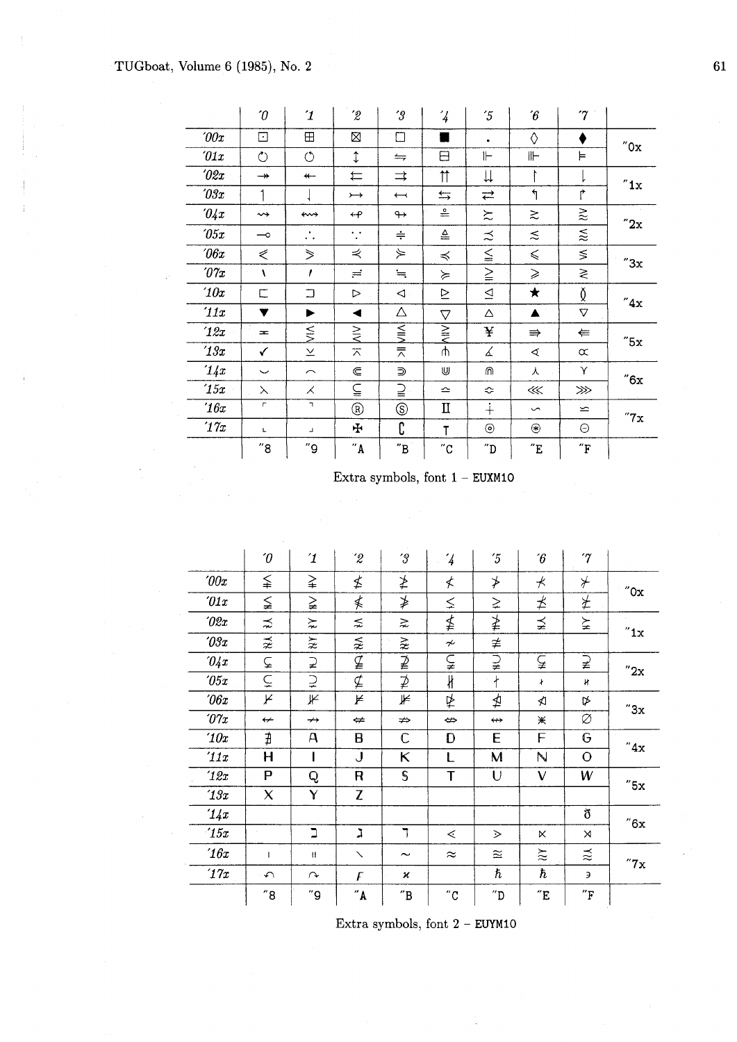|                     | $\boldsymbol{\theta}$    | $\mathcal I$                    | $\hat{z}$                         | $^{\prime}3$             | $\frac{7}{4}$         | $\overline{5}$               | $\hat{b}$                | $\gamma$                       |                       |  |
|---------------------|--------------------------|---------------------------------|-----------------------------------|--------------------------|-----------------------|------------------------------|--------------------------|--------------------------------|-----------------------|--|
| 200x                | ⊡                        | $\boxplus$                      | X                                 | $\Box$                   |                       | ٠                            | ♦                        |                                | "0x                   |  |
| $\partial 1x$       | $\circlearrowright$      | $\circlearrowleft$              | ţ                                 | $\leftrightharpoons$     | 日                     | ⊩                            | ⊪                        | ⊨                              |                       |  |
| $\partial \ell x$   | $\rightarrow$            | $\leftarrow$                    | ⇇                                 | $\Rightarrow$            | $\uparrow$            | ⇊                            | ŀ                        |                                | "1x                   |  |
| $\partial \Im x$    | 1                        |                                 | $\rightarrow$                     | $\overline{\phantom{m}}$ | $\leftrightarrows$    | ⇄                            | 1                        | ↱                              |                       |  |
| 04x                 | $\rightsquigarrow$       | ⇜                               | $\leftrightarrow$                 | $\leftrightarrow$        | $\stackrel{\circ}{=}$ | $\approx$                    | $\gtrsim$                | $\gtrapprox$                   | "2x                   |  |
| $\sqrt{05x}$        | $\overline{\phantom{0}}$ | $\bullet$<br>. .                | $\ddot{\phantom{1}}$<br>$\bullet$ | $\div$                   | ≜                     | ≾                            | $\lesssim$               | $\stackrel{\textstyle<}{\sim}$ |                       |  |
| $\theta$ 6x         | ⋞                        | ⋟                               | ⋞                                 | $\curlyeqprec$           | ≼                     | $\leqq$                      | $\leqslant$              | $\leq$                         | "3x                   |  |
| $\partial \gamma_x$ | A                        | $\prime$                        | $=$                               | $\fallingdotseq$         | ≽                     | $\geq$                       | $\geqslant$              | ≷                              |                       |  |
| 10x                 | С                        | $\Box$                          | $\triangleright$                  | ◁                        | ⊵                     | $\trianglelefteq$            | ★                        | Ŏ                              | "4x"                  |  |
| '11x                | v                        | ▶                               | ◀                                 | $\Delta$                 | $\triangledown$       | Δ                            | ▲                        | $\triangledown$                |                       |  |
| 12x                 | $=$                      | $\leq$                          | $\gtrsim$                         | $\leq$                   | $\geq$                | ¥                            | $\Rightarrow$            | ⇚                              | "5x                   |  |
| 13x                 | ✓                        | $\boldsymbol{\underline{\vee}}$ | $\overline{\wedge}$               | ₹                        | ψ                     | ∡                            | $\triangleleft$          | $\propto$                      |                       |  |
| 14x                 | $\check{ }$              | $\sim$                          | $\in$                             | ⋑                        | U                     | ⋒                            | 人                        | Y                              | "6x                   |  |
| '15x                | $\lambda$                | ⋌                               | ⋸                                 | ⊇                        | ≏                     | ≎                            | $\ll$                    | ⋙                              |                       |  |
| 16x                 | $\mathsf{r}$             | $\mathbb{R}^2$                  | $^{\circledR}$                    | $^\circledS$             | П                     | $\ddotplus$                  | $\sim$                   | $\leftharpoonup$               | $^{\prime\prime}$ 7 x |  |
| 17x                 | Г                        | ᆚ                               | ÷                                 | C                        | T                     | $^{\circ}$                   | $\circledast$            | Θ                              |                       |  |
|                     | "8"                      | "9                              | $^{\prime\prime}$ A               | $^{\prime\prime}$ B      | $^{\prime\prime}$ C   | $^{\prime\prime} \mathrm{D}$ | $^{\prime\prime}{\rm E}$ | $^{\prime\prime}{\rm F}$       |                       |  |

Extra symbols, font 1 - EUXMIO

|                        | $\theta$                 | $\mathbf 1$          | $\hat{z}$                         | $\mathcal G$                 | $\frac{7}{4}$            | $\overline{5}$      | $\emph{6}$          | $\gamma$            |                      |  |
|------------------------|--------------------------|----------------------|-----------------------------------|------------------------------|--------------------------|---------------------|---------------------|---------------------|----------------------|--|
| 00x                    | ≨                        | ≩                    | ≰                                 | ≱                            | ≮                        | ≯                   | $\star$             | $\star$             | $^{\prime\prime}$ Ox |  |
| $\partial 1x$          | ≨                        | ≩                    | ≰                                 | ≱                            | ≤                        | ⋧                   | ≵                   | ≱                   |                      |  |
| 2x                     | ⋨                        | $\succnsim$          | ≲                                 | ⋧                            | ≰                        | ≱                   | ⋨                   | ≽                   | $^{\prime\prime}1x$  |  |
| $\partial \vartheta x$ | $\tilde{\boldsymbol{z}}$ | $\widetilde{\bm{x}}$ | ⋦                                 | ⋧                            | $\boldsymbol{\nsim}$     | ≇                   |                     |                     |                      |  |
| 04x                    | ⊊                        | $\supsetneq$         | $\overline{\mathcal{I}}$          | $\overline{2}$               | ⊊                        | $\overline{z}$      | ⊊                   | $\sum_{i=1}^{n}$    | $^{\prime\prime}2x$  |  |
| $\sqrt{05x}$           | $\tilde{\subset}$        | $\supsetneq$         | $\overline{\cancel{\mathcal{L}}}$ | ⊉                            | ł                        | $\ddagger$          | ł                   | H                   |                      |  |
| 06x                    | K                        | ⊮                    | ⊭                                 | ⊭                            | ⋭                        | ⋬                   | ≮                   | ⋫                   | "3x                  |  |
| $\partial \gamma_x$    | $\overline{\phantom{0}}$ | $\leftrightarrow$    | ⇔                                 | ⇏                            | $\Leftrightarrow$        | $\leftrightarrow$   | Ж                   | Ø                   |                      |  |
| 10x                    | ∄                        | $\mathsf{A}$         | B                                 | C                            | D                        | E                   | F                   | G                   | "4x                  |  |
| '11x                   | $\mathsf{H}$             |                      | J                                 | Κ                            | L                        | M                   | N                   | $\overline{O}$      |                      |  |
| 12x                    | P                        | Q                    | $\mathsf{R}$                      | $\mathsf{S}$                 | T                        | U                   | $\mathsf{V}$        | W                   | "5x                  |  |
| 13x                    | X                        | Y                    | Z                                 |                              |                          |                     |                     |                     |                      |  |
| 14x                    |                          |                      |                                   |                              |                          |                     |                     | ð                   | "6x                  |  |
| 15x                    |                          | J                    | <b>L</b>                          | ٦                            | $\lessdot$               | $\geq$              | K                   | $\times$            |                      |  |
| 16x                    | $\mathbf{1}$             | $\mathbf{H}$         | $\checkmark$                      | $\tilde{}$                   | $\approx$                | $\approx$           | $\gtrsim$           | ≳                   | $^{\prime\prime}7x$  |  |
| 17x                    | $\curvearrowleft$        | $\curvearrowright$   | F                                 | $\boldsymbol{\varkappa}$     |                          | $\hbar$             | $\hbar$             | Э                   |                      |  |
|                        | "8"                      | $^{\prime\prime}$ 9  | $^{\prime\prime}$ A               | $^{\prime\prime} \texttt{B}$ | $^{\prime\prime}{\rm C}$ | $^{\prime\prime}$ D | $^{\prime\prime}$ E | $^{\prime\prime}$ F |                      |  |

Extra symbols, font **2** - **EUYMIO** 

 $61$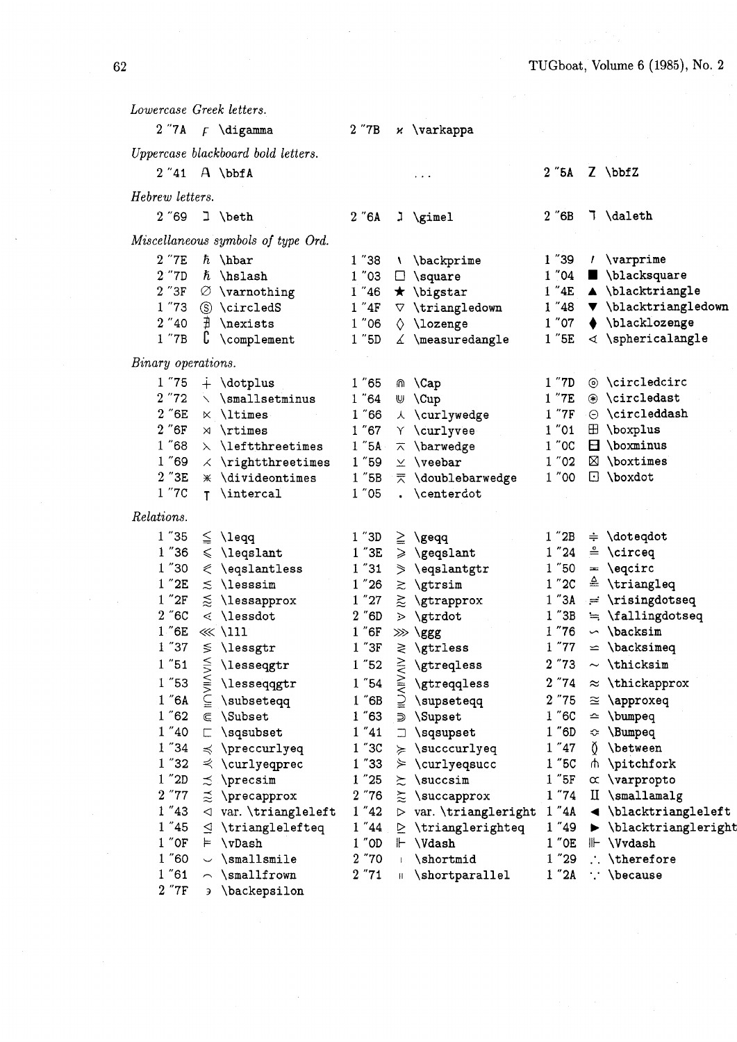*Lowercase Greek letters.*  **2** "7A **F** \digamma  $2$   $"7B$  $x \ \varphi$ *Uppercase blackboard bold letters.*   $2$ "5A  $\overline{Z}$  \bbfZ 2 "41 **A** \bbfA  $\sim$   $\sim$   $\sim$ *Hebrew letters.*  2 "69 3 \beth  $2 \textdegree$  6A  $2 \text{ "6B}$ 7 \daleth  $\lambda$  \gimel *Miscellaneous symbols of type Ord.*  2"7E *h* \hbar  $1<sup>''</sup>38$  $1''39$  $1$   $\varphi$ \ \backprime  $2$  "7D  $\hbar$  \hslash<br>2 "3F  $\varnothing$  \varnotl  $1"03$  $1"04$  $\blacksquare$  \blacksquare  $\Box$  \square  $1''46$  $1''4E$ A \blacktriangle  $2$  "3F  $\oslash$  \varnothing<br>1 "73  $\circ$  \circledS  $\star$  \bigstar  $1<sup>''</sup>48$  $\blacktriangledown$  \blacktriangledown  $\circledS$  \circledS  $1''4F$  $\nabla$  \triangledown  $2$  "40  $\#$  \nexists<br>1 "7B  $\,$  \complem  $1<sup>''</sup>06$  $1"07$ ♦ \blacklozenge  $\Diamond$  \lozenge  $\complement$  \complement  $1$   $^{\prime\prime}5D$  $\measuredangle$  \measuredangle  $1$  " $5E$  $\triangleleft$  \sphericalangle *Binary operations.*   $1 \n~"75 \n~ + \dot \text{dotplus}$ <br>  $2 \n~"72 \n~ \ddots \text{smallse}$ 1 "7D @ \circledcirc 1 "65 m \Cap  $2 \nmid 72 \n\searrow \$  \smallsetminus<br> $2 \nmid 6E \n\searrow \$  \ltimes  $1<sup>''</sup>64$ U  $\Upsilon$ 1 "7E @ \circledast  $\times$  **\ltimes**  $1<sup>''</sup>66$  $\lambda$  \curlywedge 1 "7F  $\odot$  \circleddash<br>1 "01  $\boxplus$  \boxplus  $2$   $\degree$  6F  $\times$  \rtimes  $1''67$  $1$  "01  $\oplus$  \boxplus<br>1 "0C  $\boxdot$  \boxminu Y \curlvvee 1 "68  $\lambda$  \leftthreetimes<br>1 "69  $\lambda$  \rightthreetimes  $\overline{\wedge}$  \barwedge  $\boxdot$  \boxminus  $1<sup>''</sup>5A$  $1$  "02  $\boxtimes$  \boxtimes  $1<sup>''</sup>59$  $\chi$  \rightthreetimes  $\times$  \veebar 2 "3E \* \divideontimes<br>1 "7C **r** \intercal  $1$   $"5B$ ₹ \doublebarwedge  $1$  "00  $\Box$  \boxdot T \intercal 1 "05 . \centerdot *Relations.*  1 "35  $1$  "3D  $\leq \leq \leq$  $\geq$  $\chi$ gegg  $1$   $"2B$  $\div$  \dotegdot  $1$  "36  $\leq$  \legslant  $1''24$  $\stackrel{\circ}{=}$  \circeq  $1$   $"3E$  $\geqslant$  \geqslant  $1$  "30  $\leq$  \eqslantless  $1''31$ 1 "50  $= \text{`equirc}$  $\geq$  \eqslantgtr  $\triangle$  \triangleq  $1$  "2E  $\leq$  \lesssim  $\geq$  \gtrsim  $1''2C$  $1''26$ 1 "2F  $1''3A$  $\neq$  \risingdotseq  $\leq$  \lessapprox  $1''27$  $\geq$  \gtrapprox 2 "6C  $\leq$  \lessdot  $2$   $"6D$  $\geq$  \gtrdot  $1$   $"3B$  $=$  \fallingdotseq<br>  $\sim$  \backsim 1 "6E <<< \111 1 "76  $1"6F$  $\gg$  \ggg  $1$  "37  $\leq$  \lessgtr 1 "77  $1''3F$  $\geq$  \gtrless  $\leq$  \backsimeq **NIVAINOI** 1 "51 \lesseqgtr  $1<sup>''</sup>52$ *\gtreqless* 2 "73  $\sim$  \thicksim  $\leq$  \lesseqqgtr 1 "53  $1\ \textrm{''}54$ **\gtreqqless**  $2''74$  $\approx$  \thickapprox  $\subseteq$  \subseteqq 1 "6A  $1$  "6B \supseteqq 2 "75  $\approx$  \approxed 1 "62  $\subset \S$ ubset  $1''63$ ∋ \Supset  $1"6C$  $ightharpoonup$  \bumpeq  $1''41$  $\Box$  \sqsupset  $1"6D$ 1 "40  $\Box$  \sqsubset  $\div$  \Bumpeq 1 "34  $\preccurlyeq$  \preccurlyeq  $1<sup>''</sup>3C$  $\geqslant$  \succcurlyeq  $1''47$ () \between 1 "32 1 "5C  $\prec$  \curlyeqprec  $1<sup>''</sup>33$  $\geq$  \curlyeqsucc ₼ \pitchfork 1 "2D *5* \precsim  $1''25$  $\geq$  \succsim 1 "5F  $\alpha$  \varpropto 2 "77  $\leq$  **\precapprox**  $2^{\degree}76$  $\approx$  \succapprox 1 "74 II \smallamalg 1 "43  $\triangleleft$  var. \triangleleft 1 "42 D var. \triangleright 1 "4A < \blacktriangleleft 1 "44 D \trianglerighted 1 "49 D \blacktrianglerighted 1 "45 **I]** \trianglelefteq 1 "44 **P** \trianglerighteq 1 "49 **b** \blacktriangleright 1 "OF **I=** \vDash  $1$  "OD  $\vdash \forall$  \Vdash  $1$  "OE  $\mathrel{\Vdash} \forall$  \Vvdash  $2$  "70  $\vdash \forall$  \shortmid  $1$  "29  $\vdash \forall$  \theref 1 "60  $\sim$  \smallsmile  $2$  "70 i \shortmid  $1$  "29 : \therefore  $2$  "71 ii \shortparallel  $1$  "2A : \because 1 "61  $\frown \$ smallfrown  $\parallel$  \shortparallel 1 "2A : \because 2 "7F **3** \backepsilon

62